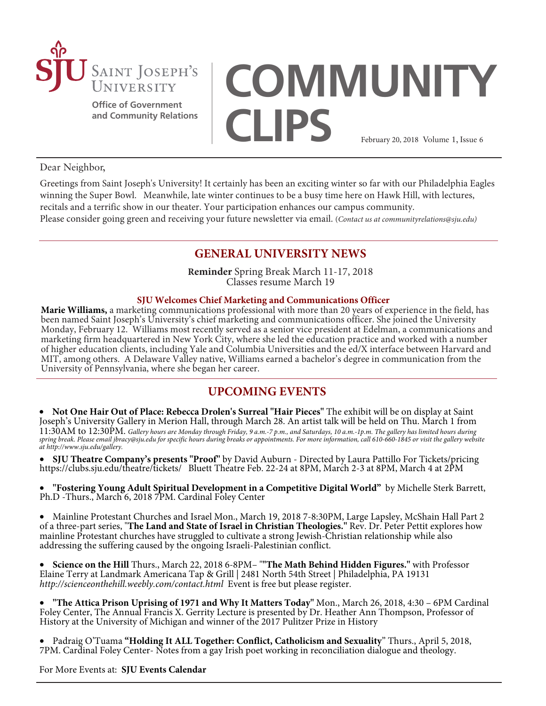

**Office of Government and Community Relations**

# **COMMUNITY CLIPS** February 20, 2018 Volume 1, Issue 6

### Dear Neighbor,

Greetings from Saint Joseph's University! It certainly has been an exciting winter so far with our Philadelphia Eagles winning the Super Bowl. Meanwhile, late winter continues to be a busy time here on Hawk Hill, with lectures, recitals and a terrific show in our theater. Your participation enhances our campus community. Please consider going green and receiving your future newsletter via email. (*Contact us at communityrelations@sju.edu)*

# **GENERAL UNIVERSITY NEWS**

**Reminder** Spring Break March 11-17, 2018 Classes resume March 19

### **SJU Welcomes Chief Marketing and Communications Officer**

**Marie Williams,** a marketing communications professional with more than 20 years of experience in the field, has been named Saint Joseph's University's chief marketing and communications officer. She joined the University Monday, February 12. Williams most recently served as a senior vice president at Edelman, a communications and marketing firm headquartered in New York City, where she led the education practice and worked with a number of higher education clients, including Yale and Columbia Universities and the ed/X interface between Harvard and MIT, among others. A Delaware Valley native, Williams earned a bachelor's degree in communication from the University of Pennsylvania, where she began her career.

## **UPCOMING EVENTS**

• **[Not One Hair Out of Place: Rebecca Drolen's Surreal "Hair Pieces"](https://www.sju.edu/news-events/news/not-one-hair-out-place-rebecca-drolens-surreal-hair-pieces)** The exhibit will be on display at Saint Joseph's University Gallery in Merion Hall, through March 28. An artist talk will be held on Thu. March 1 from 11:30AM to 12:30PM. *Gallery hours are Monday through Friday, 9 a.m.-7 p.m., and Saturdays, 10 a.m.-1p.m. The gallery has limited hours during spring break. Please email jbracy@sju.edu for specific hours during breaks or appointments. For more information, call 610-660-1845 or visit the gallery website at http://www.sju.edu/gallery.* 

• **[SJU Theatre Company's presents "Proof"](https://clubs.sju.edu/theatre/this-season)** by David Auburn - Directed by Laura Pattillo For Tickets/pricing <https://clubs.sju.edu/theatre/tickets/>Bluett Theatre Feb. 22-24 at 8PM, March 2-3 at 8PM, March 4 at 2PM

• **["Fostering Young Adult Spiritual Development in a Competitive Digital World"](https://nest.sju.edu/web/home-community/calendar)** by Michelle Sterk Barrett, Ph.D -Thurs., March 6, 2018 7PM. Cardinal Foley Center

• [Mainline Protestant Churches and Israel](https://sites.sju.edu/ijcr/2017/10/08/mainline-protestant-churches-israel/) Mon., March 19, 2018 7-8:30PM, Large Lapsley, McShain Hall Part 2 of a three-part series, "**[The Land and State of Israel in Christian Theologies.](https://sites.sju.edu/ijcr/2017/10/08/mainline-protestant-churches-israel/)"** Rev. Dr. Peter Pettit explores how mainline Protestant churches have struggled to cultivate a strong Jewish-Christian relationship while also addressing the suffering caused by the ongoing Israeli-Palestinian conflict.

• **Science on the Hill** Thurs., March 22, 2018 6-8PM– "**"The Math Behind Hidden Figures."** with Professor Elaine Terry at Landmark Americana Tap & Grill | 2481 North 54th Street | Philadelphia, PA 19131 *<http://scienceonthehill.weebly.com/contact.html>*Event is free but please register.

• **["The Attica Prison Uprising of 1971 and Why It Matters Today"](https://nest.sju.edu/web/home-community/calendar#/?i=3)** Mon., March 26, 2018, 4:30 – 6PM Cardinal Foley Center, The Annual Francis X. Gerrity Lecture is presented by Dr. Heather Ann Thompson, Professor of History at the University of Michigan and winner of the 2017 Pulitzer Prize in History

• Padraig O'Tuama **"Holding It ALL Together: Conflict, Catholicism and Sexuality**" Thurs., April 5, 2018, 7PM. Cardinal Foley Center- Notes from a gay Irish poet working in reconciliation dialogue and theology.

For More Events at: **[SJU Events Calendar](https://www.sju.edu/news-events/events#/?i=1)**